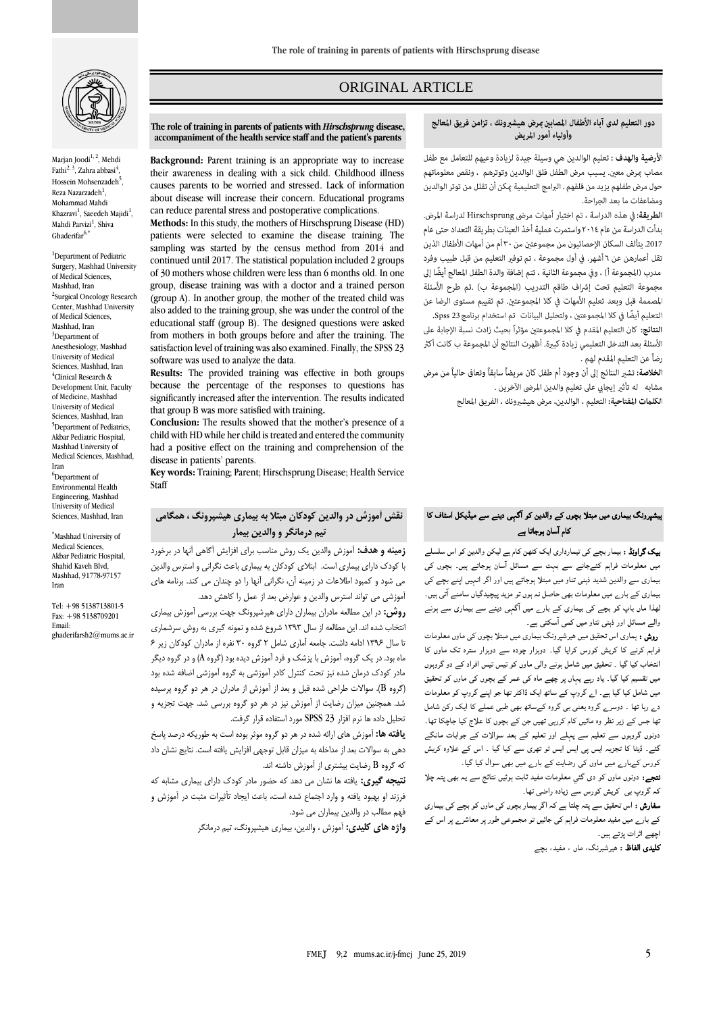

Marjan Joodi<sup>1, 2</sup>, Mehdi Fathi<sup>2, 3</sup>, Zahra abbasi<sup>4</sup> , Hossein Mohsenzadeh<sup>5</sup>, Reza Nazarzadeh<sup>1</sup>, Mohammad Mahdi Khazravi<sup>1</sup>, Saeedeh Majidi<sup>1</sup>, Mahdi Parvizi<sup>1</sup>, Shiva Ghaderifar<sup>6,\*</sup>

<sup>1</sup>Department of Pediatric Surgery, Mashhad University of Medical Sciences, Mashhad, Iran <sup>2</sup>Surgical Oncology Research Center, Mashhad University of Medical Sciences, Mashhad, Iran <sup>3</sup>Department of Anesthesiology, Mashhad University of Medical Sciences, Mashhad, Iran 4 Clinical Research & Development Unit, Faculty of Medicine, Mashhad University of Medical Sciences, Mashhad, Iran <sup>5</sup>Department of Pediatrics Akbar Pediatric Hospital, Mashhad University of Medical Sciences, Mashhad, Iran <sup>6</sup>Department of Environmental Health Engineering, Mashhad University of Medical Sciences, Mashhad, Iran

\*Mashhad University of Medical Sciences, Akbar Pediatric Hospital, Shahid Kaveh Blvd, Mashhad, 91778-97157 Iran

Tel: +98 5138713801-5 Fax: +98 5138709201 Email: ghaderifarsh2@mums.ac.ir

# ORIGINAL ARTICLE

# دور التعليم لدى آباء الأطفال المصابين عرض هيشبرونك ، تزامن فريق المعالج وأولياء أمور المريض

الأرضية والهدف : تعليم الوالدين هي وسيلة جيدة لزيادة وعيهم للتعامل مع طفل مصاب مرض معين. يسبب مرض الطفل قلق الوالدين وتوترهم ، ونقص معلوماتهم حول مرض طفلهم يزيد من قلقهم . البرامج التعليمية عكن أن تقلل من توتر الوالدين ومضاعفات ما بعد الجراحة.

الطريقة: في هذه الدراسة ، تم اختيار أمهات مرضى Hirschsprung لدراسة المرض. بدأت الدراسة من عام ٢٠١٤ واستمرت عملية أخذ العينات بطريقة التعداد حتى عام 2017. يتألف السكان الإحصائيون من مجموعتين من ٣٠ أم من أمهات الأطفال الذين تقل أعمارهن عن ٦ أشهر. في أول مجموعة ، تم توفير التعليم من قبل طبيب وفرد مدرب (المجموعة أ) ، وفي مجموعة الثانية ، تتم إضافة والدة الطفل المعالج أيضًا إلى مجموعة التعليم تحت إشراف طاقم التدريب (المجموعة ب) .تم طرح الأسئلة المصممة قبل وبعد تعليم الأمهات في كلا المجموعتين. تم تقييم مستوى الرضا عن التعليم أيضًا في كلا المجموعتين ، ولتحليل البيانات تم استخدام برنامج Spss 23.

النتائج: كان التعليم المقدم في كلا المجموعتين مؤثراً بحيث زادت نسبة الإجابة على الأسئلة بعد التدخل التعليمي زيادة كبيرة. أظهرت النتائج أن المجموعة ب كانت أكثر رضاً عن التعليم المقدم لهم .

ا**لخلاصة:** تشير النتائج إلى أن وجود أم طفل كان مريضاً سابقاً وتعافى حالياً من مرض مشابه له تأثير إيجابي على تعليم والدين المرضى الآخرين .

الكلمات المفتاحية: التعليم ، الوالدين، مرض هيشبرونك ، الفريق المعالج

# ہیشپرونگ بیماری میں مبتلا بچوں کے والدین کو ا گہی دینے سے میڈیکل اسٹاف کا کام ا سان ہوجاتا ہے

بیک گراونڈ : بیمار بچے کی تیمارداری ایک کٹھن کام ہے لیکن والدین کو اس سلسلے میں معلومات فراہم کئےجانے سے بہت سے مسائل ا سان ہوجاتے ہیں۔ بچوں کی بیماری سے والدین شدید ذہنی تناو میں مبتلا ہوجاتے ہیں اور اگر انہیں اپنے بچے کی بیماری کے بارے میں معلومات بھی حاصل نہ ہوں تو مزید پیچیدگیاں سامنے ا تی ہیں۔ لھذا ماں باپ کو بچے کی بیماری کے بارے میں ا گہی دینے سے بیماری سے ہونے والے مسائل اور ذہنی تناو میں کمی آسکتی ہے۔

 روش : ہماری اس تحقیق میں ھیرشپرونگ بیماری میں مبتلا بچوں کی ماوں معلومات فراہم کرنے کا کریش کورس کرایا گيا۔ دوہزار چودہ سے دوہزار سترہ تک ماوں کا انتخاب کیا گيا ۔ تحقیق میں شامل ہونے والی ماوں کو تیس تیس افراد کے دو گروہوں میں تقسیم کیا گيا۔ یاد رہے یہاں پر چھے ماہ کی عمر کے بچوں کی ماوں کو تحقیق میں شامل کیا گيا ہے۔ اے گروپ کے ساتھ ایک ڈاکٹر تھا جو اپنے گروپ کو معلومات دے رہا تھا ۔ دوسرے گروہ یعنی بی گروہ کےساتھ بھی طبی عملے کا ایک رکن شامل تھا جس کے زیر نظر وہ مائيں کام کررہی تھیں جن کے بچوں کا علاج کیا جاچکا تھا۔ دونوں گروہوں سے تعلیم سے پہلے اور تعلیم کے بعد سوالات کے جوابات مانگے گئے۔ ڈیٹا کا تجزیہ ایس پی ایس ایس ٹو تھری سے کیا گيا ۔ اس کے علاوہ کریش کورس کےبارے میں ماوں کی رضایت کے بارے میں بھی سوال کیا گيا۔

نتجے: دونوں ماوں کو دی گئي معلومات مفید ثابت ہوئيں نتائج سے یہ بھی پتہ چلا کہ گروپ بی کریش کورس سے زیادہ راضی تھا۔

سفارش : اس تحقیق سے پتہ چلتا ہے کہ اگر بیمار بچوں کی ماوں کو بچے کی بیماری کے بارے میں مفید معلومات فراہم کی جائيں تو مجموعی طور پر معاشرے پر اس کے اچھے اثرات پڑتے ہیں۔

کلیدی الفاظ : ھیرشبرنگ، ماں ، مفید، بچے

#### **The role of training in parents of patients with** *Hirschsprung* **disease, accompaniment of the health service staff and the patient's parents**

**Background:** Parent training is an appropriate way to increase their awareness in dealing with a sick child. Childhood illness causes parents to be worried and stressed. Lack of information about disease will increase their concern. Educational programs can reduce parental stress and postoperative complications.

**Methods:** In this study, the mothers of Hirschsprung Disease (HD) patients were selected to examine the disease training. The sampling was started by the census method from 2014 and continued until 2017. The statistical population included 2 groups of 30 mothers whose children were less than 6 months old. In one group, disease training was with a doctor and a trained person (group A). In another group, the mother of the treated child was also added to the training group, she was under the control of the educational staff (group B). The designed questions were asked from mothers in both groups before and after the training. The satisfaction level of training was also examined. Finally, the SPSS 23 software was used to analyze the data.

**Results:** The provided training was effective in both groups because the percentage of the responses to questions has significantly increased after the intervention. The results indicated that group B was more satisfied with training**.**

**Conclusion:** The results showed that the mother's presence of a child with HD while her child is treated and entered the community had a positive effect on the training and comprehension of the disease in patients' parents.

**Key words:** Training; Parent; Hirschsprung Disease; Health Service Staff

# **نقش آموزش در والدین کودکان مبتال به بیماری هیشپرونگ ، همگامی تیم درمانگر و والدین بیمار**

**زمینه و هدف:** آموزش والدین یک روش مناسب برای افزایش آگاهی آنها در برخورد با کودک دارای بیماری است. ابتالی کودکان به بیماری باعث نگرانی و استرس والدین می شود و کمبود اطالعات در زمینه آن، نگرانی آنها را دو چندان می کند. برنامه های آموزشی می تواند استرس والدین و عوارض بعد از عمل را کاهش دهد.

**روش:** در این مطالعه مادران بیماران دارای هیرشپرونگ جهت بررسی آموزش بیماری انتخاب شده اند. این مطالعه از سال 1393 شروع شده و نمونه گیری به روش سرشماری تا سال 1396 ادامه داشت. جامعه آماری شامل 2 گروه 30 نفره از مادران کودکان زیر 6 ماه بود. در یک گروه، آموزش با پزشک و فرد آموزش دیده بود )گروه A )و در گروه دیگر مادر کودک درمان شده نیز تحت کنترل کادر آموزشی به گروه آموزشی اضافه شده بود )گروه B). سواالت طراحی شده قبل و بعد از آموزش از مادران در هر دو گروه پرسیده شد. همچنین میزان رضایت از آموزش نیز در هر دو گروه بررسی شد. جهت تجزیه و تحلیل داده ها نرم افزار 23 SPSS مورد استفاده قرار گرفت.

**یافته ها:** آموزش های ارائه شده در هر دو گروه موثر بوده است به طوریکه درصد پاسخ دهی به سواالت بعد از مداخله به میزان قابل توجهی افزایش یافته است. نتایج نشان داد که گروه B رضایت بیشتری از آموزش داشته اند.

**نتیجه گیری:** یافته ها نشان می دهد که حضور مادر کودک دارای بیماری مشابه که فرزند او بهبود یافته و وارد اجتماع شده است، باعث ایجاد تأثیرات مثبت در آموزش و فهم مطالب در والدین بیماران می شود.

**واژه های کلیدی:** آموزش ، والدین، بیماری هیشپرونگ، تیم درمانگر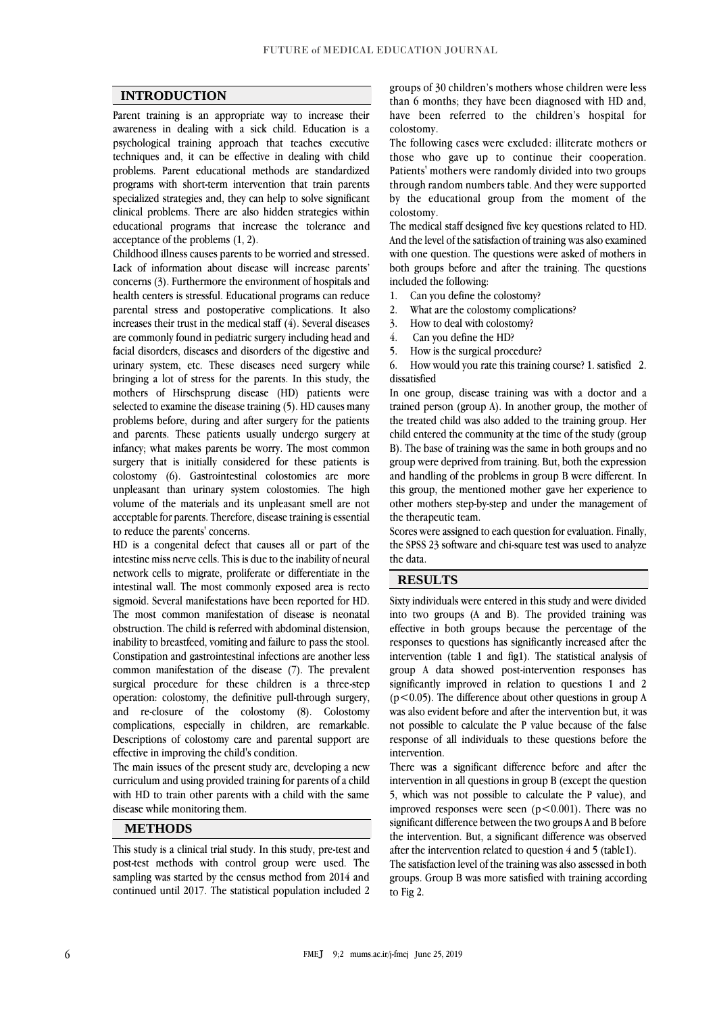### **INTRODUCTION**

Parent training is an appropriate way to increase their awareness in dealing with a sick child. Education is a psychological training approach that teaches executive techniques and, it can be effective in dealing with child problems. Parent educational methods are standardized programs with short-term intervention that train parents specialized strategies and, they can help to solve significant clinical problems. There are also hidden strategies within educational programs that increase the tolerance and acceptance of the problems [\(1,](#page-3-0) [2\)](#page-3-1).

Childhood illness causes parents to be worried and stressed. Lack of information about disease will increase parents' concerns [\(3\)](#page-3-2). Furthermore [the environment of hospitals and](https://members.mauriora.co.nz/wp-content/uploads/2015/05/The_Health_Literacy_Environment.pdf)  [health centers](https://members.mauriora.co.nz/wp-content/uploads/2015/05/The_Health_Literacy_Environment.pdf) is stressful. Educational programs can reduce parental stress and postoperative complications. It also increases their trust in the medical staff [\(4\)](#page-3-3). Several diseases are commonly found in pediatric surgery including head and facial disorders, diseases and disorders of the digestive and urinary system, etc. These diseases need surgery while bringing a lot of stress for the parents. In this study, the mothers of Hirschsprung disease (HD) patients were selected to examine the disease training [\(5\)](#page-3-4). HD causes many problems before, during and after surgery for the patients and parents. These patients usually undergo surgery at infancy; what makes parents be worry. The most common surgery that is initially considered for these patients is colostomy [\(6\)](#page-3-5). Gastrointestinal colostomies are more unpleasant than urinary system colostomies. The high volume of the materials and its unpleasant smell are not acceptable for parents. Therefore, disease training is essential to reduce the parents' concerns.

HD is a congenital defect that causes all or part of the intestine miss nerve cells. This is due to the inability of neural network cells to migrate, proliferate or differentiate in the intestinal wall. The most commonly exposed area is recto sigmoid. Several manifestations have been reported for HD. The most common manifestation of disease is neonatal obstruction. The child is referred with abdominal distension, inability to breastfeed, vomiting and failure to pass the stool. Constipation and gastrointestinal infections are another less common manifestation of the disease [\(7\)](#page-3-6). The prevalent surgical procedure for these children is a three-step operation: colostomy, the definitive pull-through surgery, and re-closure of the colostomy [\(8\)](#page-4-0). Colostomy complications, especially in children, are remarkable. Descriptions of colostomy care and parental support are effective in improving the child's condition.

The main issues of the present study are, developing a new curriculum and using provided training for parents of a child with HD to train other parents with a child with the same disease while monitoring them.

# **METHODS**

This study is a clinical trial study. In this study, pre-test and post-test methods with control group were used. The sampling was started by the census method from 2014 and continued until 2017. The statistical population included 2

groups of 30 children's mothers whose children were less than 6 months; they have been diagnosed with HD and, have been referred to the children's hospital for colostomy.

The following cases were excluded: illiterate mothers or those who gave up to continue their cooperation. Patients' mothers were randomly divided into two groups through random numbers table. And they were supported by the educational group from the moment of the colostomy.

The medical staff designed five key questions related to HD. And the level of the satisfaction of training was also examined with one question. The questions were asked of mothers in both groups before and after the training. The questions included the following:

- 1. Can you define the colostomy?
- 2. What are the colostomy complications?
- 3. How to deal with colostomy?
- 4. Can you define the HD?
- 5. How is the surgical procedure?

6. How would you rate this training course? 1. satisfied 2. dissatisfied

In one group, disease training was with a doctor and a trained person (group A). In another group, the mother of the treated child was also added to the training group. Her child entered the community at the time of the study (group B). The base of training was the same in both groups and no group were deprived from training. But, both the expression and handling of the problems in group B were different. In this group, the mentioned mother gave her experience to other mothers step-by-step and under the management of the therapeutic team.

Scores were assigned to each question for evaluation. Finally, the SPSS 23 software and chi-square test was used to analyze the data.

# **RESULTS**

Sixty individuals were entered in this study and were divided into two groups (A and B). The provided training was effective in both groups because the percentage of the responses to questions has significantly increased after the intervention (table 1 and fig1). The statistical analysis of group A data showed post-intervention responses has significantly improved in relation to questions 1 and 2  $(p<0.05)$ . The difference about other questions in group A was also evident before and after the intervention but, it was not possible to calculate the P value because of the false response of all individuals to these questions before the intervention.

There was a significant difference before and after the intervention in all questions in group B (except the question 5, which was not possible to calculate the P value), and improved responses were seen  $(p<0.001)$ . There was no significant difference between the two groups A and B before the intervention. But, a significant difference was observed after the intervention related to question 4 and 5 (table1).

The satisfaction level of the training was also assessed in both groups. Group B was more satisfied with training according to Fig 2.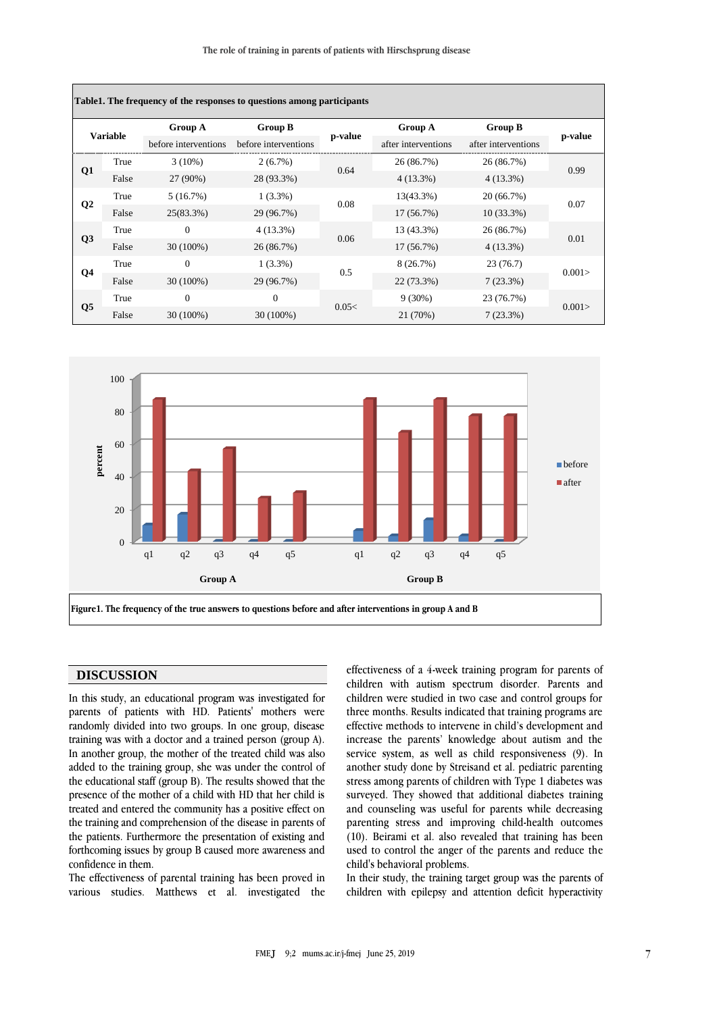**The role of training in parents of patients with Hirschsprung disease**

| <b>Variable</b> |       | <b>Group A</b>       | <b>Group B</b>       |         | Group A             | <b>Group B</b>      |         |
|-----------------|-------|----------------------|----------------------|---------|---------------------|---------------------|---------|
|                 |       | before interventions | before interventions | p-value | after interventions | after interventions | p-value |
|                 | True  | $3(10\%)$            | $2(6.7\%)$           | 0.64    | 26 (86.7%)          | 26 (86.7%)          | 0.99    |
| Q <sub>1</sub>  | False | 27 (90%)             | 28 (93.3%)           |         | $4(13.3\%)$         | $4(13.3\%)$         |         |
| Q <sub>2</sub>  | True  | 5(16.7%)             | $1(3.3\%)$           | 0.08    | 13(43.3%)           | 20(66.7%)           | 0.07    |
|                 | False | $25(83.3\%)$         | 29 (96.7%)           |         | 17(56.7%)           | $10(33.3\%)$        |         |
| Q3              | True  | $\Omega$             | $4(13.3\%)$          | 0.06    | 13 (43.3%)          | 26 (86.7%)          | 0.01    |
|                 | False | $30(100\%)$          | 26 (86.7%)           |         | 17(56.7%)           | $4(13.3\%)$         |         |
| Q4              | True  | $\Omega$             | $1(3.3\%)$           | 0.5     | 8(26.7%)            | 23(76.7)            | 0.001   |
|                 | False | $30(100\%)$          | 29 (96.7%)           |         | 22 (73.3%)          | 7(23.3%)            |         |
| Q <sub>5</sub>  | True  | $\Omega$             | $\mathbf{0}$         | 0.05<   | $9(30\%)$           | 23 (76.7%)          | 0.001   |
|                 | False | $30(100\%)$          | 30 (100%)            |         | 21 (70%)            | 7(23.3%)            |         |



## **DISCUSSION**

In this study, an educational program was investigated for parents of patients with HD. Patients' mothers were randomly divided into two groups. In one group, disease training was with a doctor and a trained person (group A). In another group, the mother of the treated child was also added to the training group, she was under the control of the educational staff (group B). The results showed that the presence of the mother of a child with HD that her child is treated and entered the community has a positive effect on the training and comprehension of the disease in parents of the patients. Furthermore the presentation of existing and forthcoming issues by group B caused more awareness and confidence in them.

The effectiveness of parental training has been proved in various studies. Matthews et al. investigated the effectiveness of a 4-week training program for parents of children with autism spectrum disorder. Parents and children were studied in two case and control groups for three months. Results indicated that training programs are effective methods to intervene in child's development and increase the parents' knowledge about autism and the service system, as well as child responsiveness [\(9\)](file:///E:/Business/Graphic%20Design/مجله%20FMEJ/9,2/مطالب/2/Ghaderifar%20-%20Copy.docx%23_ENREF_9). In another study done by Streisand et al. pediatric parenting stress among parents of children with Type 1 diabetes was surveyed. They showed that additional diabetes training and counseling was useful for parents while decreasing parenting stress and improving child-health outcomes [\(10\)](file:///E:/Business/Graphic%20Design/مجله%20FMEJ/9,2/مطالب/2/Ghaderifar%20-%20Copy.docx%23_ENREF_10). Beirami et al. also revealed that training has been used to control the anger of the parents and reduce the child's behavioral problems.

In their study, the training target group was the parents of children with epilepsy and attention deficit hyperactivity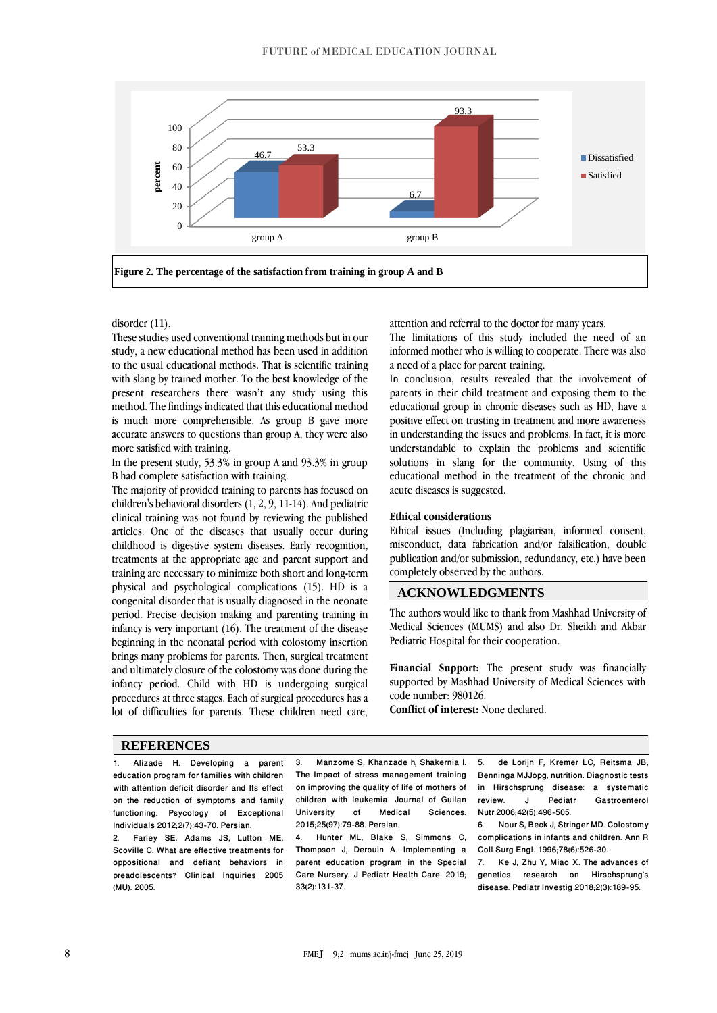

## disorder [\(11\)](file:///E:/Business/Graphic%20Design/مجله%20FMEJ/9,2/مطالب/2/Ghaderifar%20-%20Copy.docx%23_ENREF_11).

These studies used conventional training methods but in our study, a new educational method has been used in addition to the usual educational methods. That is scientific training with slang by trained mother. To the best knowledge of the present researchers there wasn't any study using this method. The findings indicated that this educational method is much more comprehensible. As group B gave more accurate answers to questions than group A, they were also more satisfied with training.

In the present study, 53.3% in group A and 93.3% in group B had complete satisfaction with training.

The majority of provided training to parents has focused on children's behavioral disorders [\(1,](file:///E:/Business/Graphic%20Design/مجله%20FMEJ/9,2/مطالب/2/Ghaderifar%20-%20Copy.docx%23_ENREF_1) [2,](file:///E:/Business/Graphic%20Design/مجله%20FMEJ/9,2/مطالب/2/Ghaderifar%20-%20Copy.docx%23_ENREF_2) [9,](file:///E:/Business/Graphic%20Design/مجله%20FMEJ/9,2/مطالب/2/Ghaderifar%20-%20Copy.docx%23_ENREF_9) [11-14\)](file:///E:/Business/Graphic%20Design/مجله%20FMEJ/9,2/مطالب/2/Ghaderifar%20-%20Copy.docx%23_ENREF_11). And pediatric clinical training was not found by reviewing the published articles. One of the diseases that usually occur during childhood is digestive system diseases. Early recognition, treatments at the appropriate age and parent support and training are necessary to minimize both short and long-term physical and psychological complications [\(15\)](file:///E:/Business/Graphic%20Design/مجله%20FMEJ/9,2/مطالب/2/Ghaderifar%20-%20Copy.docx%23_ENREF_15). HD is a congenital disorder that is usually diagnosed in the neonate period. Precise decision making and parenting training in infancy is very important [\(16\)](file:///E:/Business/Graphic%20Design/مجله%20FMEJ/9,2/مطالب/2/Ghaderifar%20-%20Copy.docx%23_ENREF_16). The treatment of the disease beginning in the neonatal period with colostomy insertion brings many problems for parents. Then, surgical treatment and ultimately closure of the colostomy was done during the infancy period. Child with HD is undergoing surgical procedures at three stages. Each of surgical procedures has a lot of difficulties for parents. These children need care,

attention and referral to the doctor for many years.

The limitations of this study included the need of an informed mother who is willing to cooperate. There was also a need of a place for parent training.

In conclusion, results revealed that the involvement of parents in their child treatment and exposing them to the educational group in chronic diseases such as HD, have a positive effect on trusting in treatment and more awareness in understanding the issues and problems. In fact, it is more understandable to explain the problems and scientific solutions in slang for the community. Using of this educational method in the treatment of the chronic and acute diseases is suggested.

#### **Ethical considerations**

Ethical issues (Including plagiarism, informed consent, misconduct, data fabrication and/or falsification, double publication and/or submission, redundancy, etc.) have been completely observed by the authors.

### **ACKNOWLEDGMENTS**

The authors would like to thank from Mashhad University of Medical Sciences (MUMS) and also Dr. Sheikh and Akbar Pediatric Hospital for their cooperation.

**Financial Support:** The present study was financially supported by Mashhad University of Medical Sciences with code number: 980126.

**Conflict of interest:** None declared.

#### **REFERENCES**

<span id="page-3-0"></span>1. Alizade H. Developing a parent education program for families with children with attention deficit disorder and Its effect on the reduction of symptoms and family functioning. Psycology of Exceptional Individuals 2012;2(7):43-70. Persian. 2. Farley SE, Adams JS, Lutton ME,

<span id="page-3-1"></span>Scoville C. What are effective treatments for oppositional and defiant behaviors in preadolescents? Clinical Inquiries 2005 (MU). 2005.

<span id="page-3-2"></span>3. Manzome S, Khanzade h, Shakernia I. The Impact of stress management training on improving the quality of life of mothers of children with leukemia. Journal of Guilan<br>University of Medical Sciences. Sciences. 2015;25(97):79-88. Persian.

<span id="page-3-3"></span>4. Hunter ML, Blake S, Simmons C, Thompson J, Derouin A. Implementing a parent education program in the Special Care Nursery. J Pediatr Health Care. 2019; 33(2):131-37.

<span id="page-3-4"></span>5. de Lorijn F, Kremer LC, Reitsma JB, Benninga MJJopg, nutrition. Diagnostic tests in Hirschsprung disease: a systematic Gastroenterol Nutr.2006;42(5):496-505.

<span id="page-3-5"></span>6. Nour S, Beck J, Stringer MD. Colostomy complications in infants and children. Ann R Coll Surg Engl. 1996;78(6):526-30.<br>7 Ke J Zhu Y Miao X The ac

<span id="page-3-6"></span>7. Ke J, Zhu Y, Miao X. The advances of genetics research on Hirschsprung's disease. Pediatr Investig 2018;2(3):189-95.